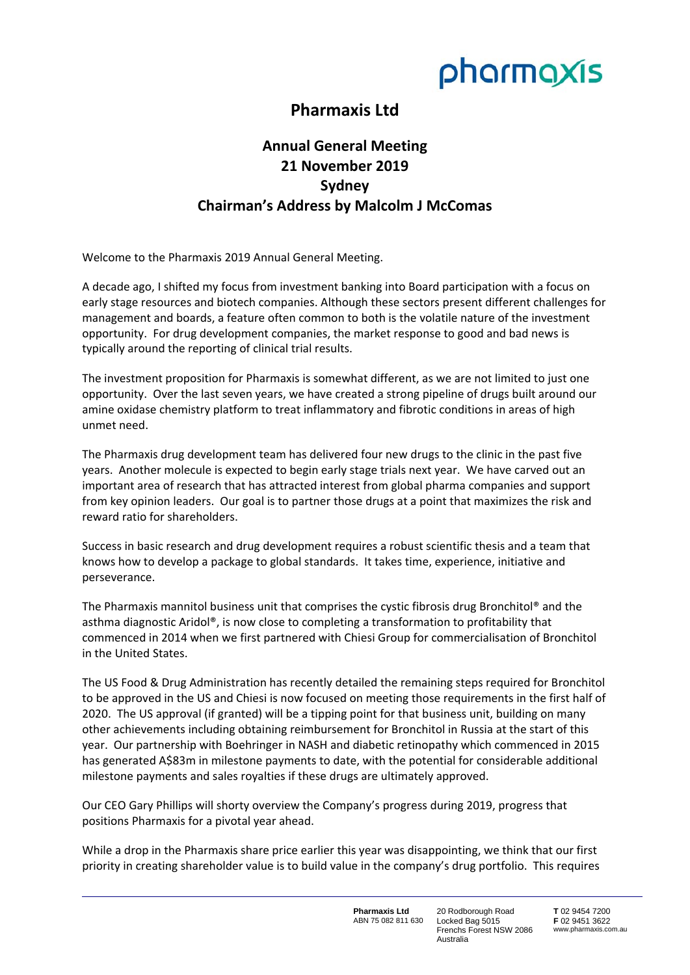

## **Pharmaxis Ltd**

## **Annual General Meeting 21 November 2019 Sydney Chairman's Address by Malcolm J McComas**

Welcome to the Pharmaxis 2019 Annual General Meeting.

A decade ago, I shifted my focus from investment banking into Board participation with a focus on early stage resources and biotech companies. Although these sectors present different challenges for management and boards, a feature often common to both is the volatile nature of the investment opportunity. For drug development companies, the market response to good and bad news is typically around the reporting of clinical trial results.

The investment proposition for Pharmaxis is somewhat different, as we are not limited to just one opportunity. Over the last seven years, we have created a strong pipeline of drugs built around our amine oxidase chemistry platform to treat inflammatory and fibrotic conditions in areas of high unmet need.

The Pharmaxis drug development team has delivered four new drugs to the clinic in the past five years. Another molecule is expected to begin early stage trials next year. We have carved out an important area of research that has attracted interest from global pharma companies and support from key opinion leaders. Our goal is to partner those drugs at a point that maximizes the risk and reward ratio for shareholders.

Success in basic research and drug development requires a robust scientific thesis and a team that knows how to develop a package to global standards. It takes time, experience, initiative and perseverance.

The Pharmaxis mannitol business unit that comprises the cystic fibrosis drug Bronchitol® and the asthma diagnostic Aridol®, is now close to completing a transformation to profitability that commenced in 2014 when we first partnered with Chiesi Group for commercialisation of Bronchitol in the United States.

The US Food & Drug Administration has recently detailed the remaining steps required for Bronchitol to be approved in the US and Chiesi is now focused on meeting those requirements in the first half of 2020. The US approval (if granted) will be a tipping point for that business unit, building on many other achievements including obtaining reimbursement for Bronchitol in Russia at the start of this year. Our partnership with Boehringer in NASH and diabetic retinopathy which commenced in 2015 has generated A\$83m in milestone payments to date, with the potential for considerable additional milestone payments and sales royalties if these drugs are ultimately approved.

Our CEO Gary Phillips will shorty overview the Company's progress during 2019, progress that positions Pharmaxis for a pivotal year ahead.

While a drop in the Pharmaxis share price earlier this year was disappointing, we think that our first priority in creating shareholder value is to build value in the company's drug portfolio. This requires